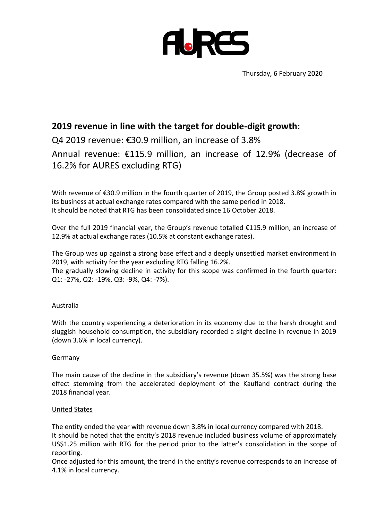

# **2019 revenue in line with the target for double-digit growth:**

Q4 2019 revenue: €30.9 million, an increase of 3.8%

Annual revenue: €115.9 million, an increase of 12.9% (decrease of 16.2% for AURES excluding RTG)

With revenue of €30.9 million in the fourth quarter of 2019, the Group posted 3.8% growth in its business at actual exchange rates compared with the same period in 2018. It should be noted that RTG has been consolidated since 16 October 2018.

Over the full 2019 financial year, the Group's revenue totalled €115.9 million, an increase of 12.9% at actual exchange rates (10.5% at constant exchange rates).

The Group was up against a strong base effect and a deeply unsettled market environment in 2019, with activity for the year excluding RTG falling 16.2%.

The gradually slowing decline in activity for this scope was confirmed in the fourth quarter: Q1: -27%, Q2: -19%, Q3: -9%, Q4: -7%).

#### Australia

With the country experiencing a deterioration in its economy due to the harsh drought and sluggish household consumption, the subsidiary recorded a slight decline in revenue in 2019 (down 3.6% in local currency).

#### Germany

The main cause of the decline in the subsidiary's revenue (down 35.5%) was the strong base effect stemming from the accelerated deployment of the Kaufland contract during the 2018 financial year.

#### United States

The entity ended the year with revenue down 3.8% in local currency compared with 2018. It should be noted that the entity's 2018 revenue included business volume of approximately US\$1.25 million with RTG for the period prior to the latter's consolidation in the scope of reporting.

Once adjusted for this amount, the trend in the entity's revenue corresponds to an increase of 4.1% in local currency.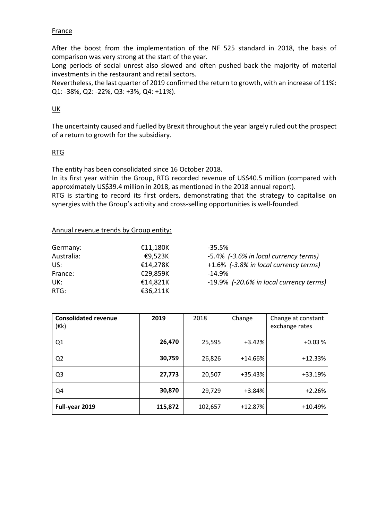#### France

After the boost from the implementation of the NF 525 standard in 2018, the basis of comparison was very strong at the start of the year.

Long periods of social unrest also slowed and often pushed back the majority of material investments in the restaurant and retail sectors.

Nevertheless, the last quarter of 2019 confirmed the return to growth, with an increase of 11%: Q1: -38%, Q2: -22%, Q3: +3%, Q4: +11%).

#### UK

The uncertainty caused and fuelled by Brexit throughout the year largely ruled out the prospect of a return to growth for the subsidiary.

#### RTG

The entity has been consolidated since 16 October 2018.

In its first year within the Group, RTG recorded revenue of US\$40.5 million (compared with approximately US\$39.4 million in 2018, as mentioned in the 2018 annual report). RTG is starting to record its first orders, demonstrating that the strategy to capitalise on synergies with the Group's activity and cross-selling opportunities is well-founded.

#### Annual revenue trends by Group entity:

| Germany:   | €11,180K | -35.5%   |  |
|------------|----------|----------|--|
| Australia: | €9,523K  | -5.4%    |  |
| US:        | €14,278K | $+1.6\%$ |  |
| France:    | €29,859K | $-14.9%$ |  |
| UK:        | €14,821K | $-19.9%$ |  |
| $RTG$ :    | €36,211K |          |  |

-5.4% *(-3.6% in local currency terms)* US: €14,278K +1.6% *(-3.8% in local currency terms)* UK: €14,821K -19.9% *(-20.6% in local currency terms)*

| <b>Consolidated revenue</b><br>$(\varepsilon$ k) | 2019    | 2018    | Change    | Change at constant<br>exchange rates |
|--------------------------------------------------|---------|---------|-----------|--------------------------------------|
| Q1                                               | 26,470  | 25,595  | $+3.42%$  | $+0.03%$                             |
| Q <sub>2</sub>                                   | 30,759  | 26,826  | $+14.66%$ | $+12.33%$                            |
| Q <sub>3</sub>                                   | 27,773  | 20,507  | +35.43%   | +33.19%                              |
| Q4                                               | 30,870  | 29,729  | $+3.84%$  | $+2.26%$                             |
| Full-year 2019                                   | 115,872 | 102,657 | +12.87%   | +10.49%                              |